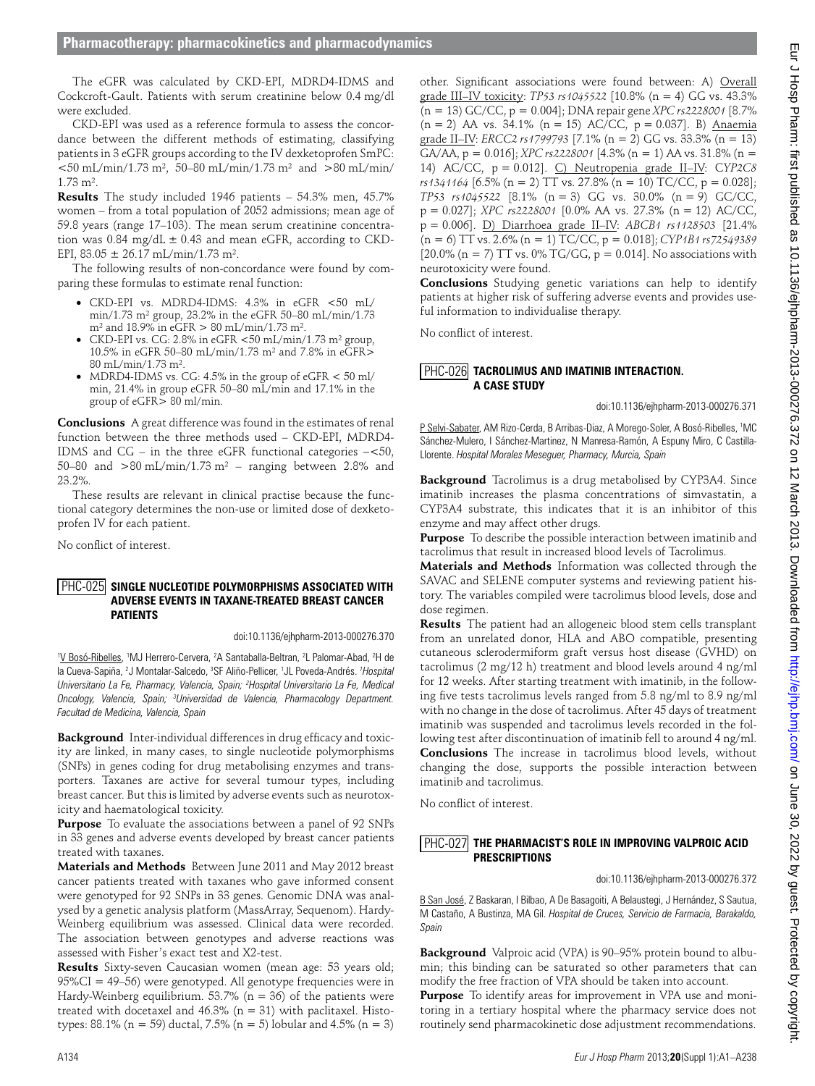The eGFR was calculated by CKD-EPI, MDRD4-IDMS and Cockcroft-Gault. Patients with serum creatinine below 0.4 mg/dl were excluded.

CKD-EPI was used as a reference formula to assess the concordance between the different methods of estimating, classifying patients in 3 eGFR groups according to the IV dexketoprofen SmPC:  $<$ 50 mL/min/1.73 m<sup>2</sup>, 50–80 mL/min/1.73 m<sup>2</sup> and >80 mL/min/ 1.73 m².

**Results** The study included 1946 patients – 54.3% men, 45.7% women – from a total population of 2052 admissions; mean age of 59.8 years (range 17–103). The mean serum creatinine concentration was 0.84 mg/dL  $\pm$  0.43 and mean eGFR, according to CKD-EPI,  $83.05 \pm 26.17 \text{ mL/min} / 1.73 \text{ m}^2$ .

The following results of non-concordance were found by comparing these formulas to estimate renal function:

- ●● CKD-EPI vs. MDRD4-IDMS: 4.3% in eGFR <50 mL/ min/1.73 m² group, 23.2% in the eGFR 50–80 mL/min/1.73  $m^2$  and 18.9% in eGFR  $> 80$  mL/min/1.73 m<sup>2</sup>.
- CKD-EPI vs. CG: 2.8% in eGFR  $<$  50 mL/min/1.73 m<sup>2</sup> group, 10.5% in eGFR 50–80 mL/min/1.73 m² and 7.8% in eGFR> 80 mL/min/1.73 m².
- MDRD4-IDMS vs. CG: 4.5% in the group of  $eGFR < 50$  ml/ min, 21.4% in group eGFR 50–80 mL/min and 17.1% in the group of eGFR> 80 ml/min.

**Conclusions** A great difference was found in the estimates of renal function between the three methods used – CKD-EPI, MDRD4- IDMS and CG – in the three eGFR functional categories −<50, 50–80 and  $>80 \text{ mL/min}/1.73 \text{ m}^2$  – ranging between 2.8% and 23.2%.

These results are relevant in clinical practise because the functional category determines the non-use or limited dose of dexketoprofen IV for each patient.

No conflict of interest.

## PHC-025 SINGLE NUCLEOTIDE POLYMORPHISMS ASSOCIATED WITH **Adverse Events in Taxane-Treated Breast Cancer Patients**

doi:10.1136/ejhpharm-2013-000276.370

<sup>1</sup>V Bosó-Ribelles, <sup>1</sup>MJ Herrero-Cervera, <sup>2</sup>A Santaballa-Beltran, <sup>2</sup>L Palomar-Abad, <sup>2</sup>H de la Cueva-Sapiña, <sup>2</sup>J Montalar-Salcedo, <sup>3</sup>SF Aliño-Pellicer, <sup>1</sup>JL Poveda-Andrés. *1 Hospital Universitario La Fe, Pharmacy, Valencia, Spain; 2 Hospital Universitario La Fe, Medical Oncology, Valencia, Spain; 3 Universidad de Valencia, Pharmacology Department. Facultad de Medicina, Valencia, Spain* 

**Background** Inter-individual differences in drug efficacy and toxicity are linked, in many cases, to single nucleotide polymorphisms (SNPs) in genes coding for drug metabolising enzymes and transporters. Taxanes are active for several tumour types, including breast cancer. But this is limited by adverse events such as neurotoxicity and haematological toxicity.

**Purpose** To evaluate the associations between a panel of 92 SNPs in 33 genes and adverse events developed by breast cancer patients treated with taxanes.

**Materials and Methods** Between June 2011 and May 2012 breast cancer patients treated with taxanes who gave informed consent were genotyped for 92 SNPs in 33 genes. Genomic DNA was analysed by a genetic analysis platform (MassArray, Sequenom). Hardy-Weinberg equilibrium was assessed. Clinical data were recorded. The association between genotypes and adverse reactions was assessed with Fisher's exact test and X2-test.

**Results** Sixty-seven Caucasian women (mean age: 53 years old; 95%CI = 49–56) were genotyped. All genotype frequencies were in Hardy-Weinberg equilibrium.  $53.7\%$  (n = 36) of the patients were treated with docetaxel and  $46.3\%$  (n = 31) with paclitaxel. Histotypes: 88.1% (n = 59) ductal, 7.5% (n = 5) lobular and 4.5% (n = 3) other. Significant associations were found between: A) Overall grade III–IV toxicity: *TP53 rs1045522* [10.8% (n = 4) GG vs. 43.3% (n = 13) GC/CC, p = 0.004]; DNA repair gene *XPC rs2228001* [8.7%  $(n = 2)$  AA vs. 34.1%  $(n = 15)$  AC/CC,  $p = 0.037$ ]. B) Anaemia grade II–IV: *ERCC2 rs1799793* [7.1% (n = 2) GG vs. 33.3% (n = 13) GA/AA, p = 0.016]; *XPC rs2228001* [4.3% (n = 1) AA vs. 31.8% (n = 14) AC/CC, p = 0.012]. C) Neutropenia grade II–IV: C*YP2C8 rs1341164* [6.5% (n = 2) TT vs. 27.8% (n = 10) TC/CC, p = 0.028]; *TP53 rs1045522* [8.1% (n = 3) GG vs. 30.0% (n = 9) GC/CC, p = 0.027]; *XPC rs2228001* [0.0% AA vs. 27.3% (n = 12) AC/CC, p = 0.006]. D) Diarrhoea grade II–IV: *ABCB1 rs1128503* [21.4% (n = 6) TT vs. 2.6% (n = 1) TC/CC, p = 0.018]; *CYP1B1 rs72549389* [20.0% (n = 7) TT vs. 0% TG/GG,  $p = 0.014$ ]. No associations with neurotoxicity were found.

**Conclusions** Studying genetic variations can help to identify patients at higher risk of suffering adverse events and provides useful information to individualise therapy.

No conflict of interest.

# PHC-026 TACROLIMUS AND IMATINIB INTERACTION. **A Case Study**

doi:10.1136/ejhpharm-2013-000276.371

P Selvi-Sabater, AM Rizo-Cerda, B Arribas-Diaz, A Morego-Soler, A Bosó-Ribelles, <sup>1</sup>MC Sánchez-Mulero, I Sánchez-Martinez, N Manresa-Ramón, A Espuny Miro, C Castilla-Llorente. *Hospital Morales Meseguer, Pharmacy, Murcia, Spain* 

**Background** Tacrolimus is a drug metabolised by CYP3A4. Since imatinib increases the plasma concentrations of simvastatin, a CYP3A4 substrate, this indicates that it is an inhibitor of this enzyme and may affect other drugs.

**Purpose** To describe the possible interaction between imatinib and tacrolimus that result in increased blood levels of Tacrolimus.

**Materials and Methods** Information was collected through the SAVAC and SELENE computer systems and reviewing patient history. The variables compiled were tacrolimus blood levels, dose and dose regimen.

**Results** The patient had an allogeneic blood stem cells transplant from an unrelated donor, HLA and ABO compatible, presenting cutaneous sclerodermiform graft versus host disease (GVHD) on tacrolimus (2 mg/12 h) treatment and blood levels around 4 ng/ml for 12 weeks. After starting treatment with imatinib, in the following five tests tacrolimus levels ranged from 5.8 ng/ml to 8.9 ng/ml with no change in the dose of tacrolimus. After 45 days of treatment imatinib was suspended and tacrolimus levels recorded in the following test after discontinuation of imatinib fell to around 4 ng/ml. **Conclusions** The increase in tacrolimus blood levels, without changing the dose, supports the possible interaction between imatinib and tacrolimus.

No conflict of interest.

## PHC-027 THE PHARMACIST'S ROLE IN IMPROVING VALPROIC ACID **Prescriptions**

doi:10.1136/ejhpharm-2013-000276.372

B San José, Z Baskaran, I Bilbao, A De Basagoiti, A Belaustegi, J Hernández, S Sautua, M Castaño, A Bustinza, MA Gil. *Hospital de Cruces, Servicio de Farmacia, Barakaldo, Spain* 

**Background** Valproic acid (VPA) is 90–95% protein bound to albumin; this binding can be saturated so other parameters that can modify the free fraction of VPA should be taken into account.

**Purpose** To identify areas for improvement in VPA use and monitoring in a tertiary hospital where the pharmacy service does not routinely send pharmacokinetic dose adjustment recommendations.